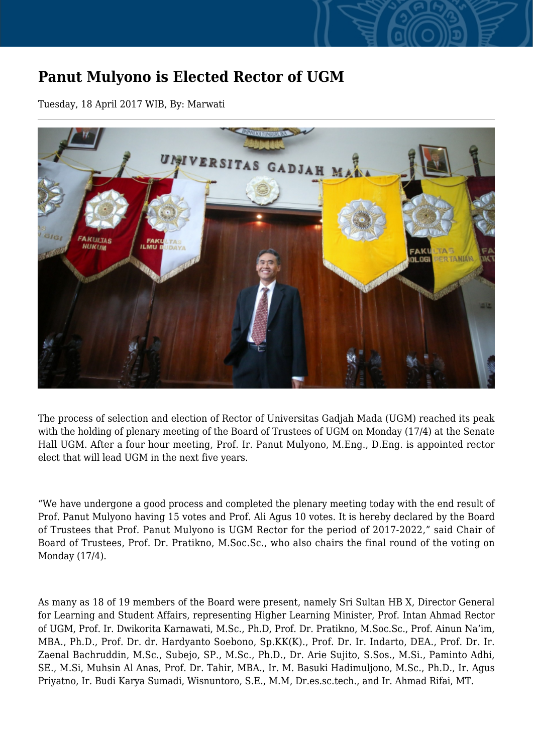## **Panut Mulyono is Elected Rector of UGM**

Tuesday, 18 April 2017 WIB, By: Marwati



The process of selection and election of Rector of Universitas Gadjah Mada (UGM) reached its peak with the holding of plenary meeting of the Board of Trustees of UGM on Monday (17/4) at the Senate Hall UGM. After a four hour meeting, Prof. Ir. Panut Mulyono, M.Eng., D.Eng. is appointed rector elect that will lead UGM in the next five years.

"We have undergone a good process and completed the plenary meeting today with the end result of Prof. Panut Mulyono having 15 votes and Prof. Ali Agus 10 votes. It is hereby declared by the Board of Trustees that Prof. Panut Mulyono is UGM Rector for the period of 2017-2022," said Chair of Board of Trustees, Prof. Dr. Pratikno, M.Soc.Sc., who also chairs the final round of the voting on Monday (17/4).

As many as 18 of 19 members of the Board were present, namely Sri Sultan HB X, Director General for Learning and Student Affairs, representing Higher Learning Minister, Prof. Intan Ahmad Rector of UGM, Prof. Ir. Dwikorita Karnawati, M.Sc., Ph.D, Prof. Dr. Pratikno, M.Soc.Sc., Prof. Ainun Na'im, MBA., Ph.D., Prof. Dr. dr. Hardyanto Soebono, Sp.KK(K)., Prof. Dr. Ir. Indarto, DEA., Prof. Dr. Ir. Zaenal Bachruddin, M.Sc., Subejo, SP., M.Sc., Ph.D., Dr. Arie Sujito, S.Sos., M.Si., Paminto Adhi, SE., M.Si, Muhsin Al Anas, Prof. Dr. Tahir, MBA., Ir. M. Basuki Hadimuljono, M.Sc., Ph.D., Ir. Agus Priyatno, Ir. Budi Karya Sumadi, Wisnuntoro, S.E., M.M, Dr.es.sc.tech., and Ir. Ahmad Rifai, MT.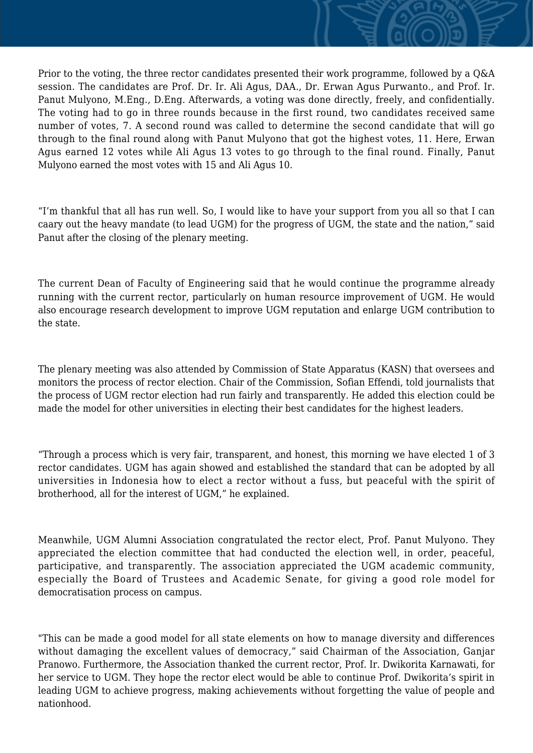Prior to the voting, the three rector candidates presented their work programme, followed by a Q&A session. The candidates are Prof. Dr. Ir. Ali Agus, DAA., Dr. Erwan Agus Purwanto., and Prof. Ir. Panut Mulyono, M.Eng., D.Eng. Afterwards, a voting was done directly, freely, and confidentially. The voting had to go in three rounds because in the first round, two candidates received same number of votes, 7. A second round was called to determine the second candidate that will go through to the final round along with Panut Mulyono that got the highest votes, 11. Here, Erwan Agus earned 12 votes while Ali Agus 13 votes to go through to the final round. Finally, Panut Mulyono earned the most votes with 15 and Ali Agus 10.

"I'm thankful that all has run well. So, I would like to have your support from you all so that I can caary out the heavy mandate (to lead UGM) for the progress of UGM, the state and the nation," said Panut after the closing of the plenary meeting.

The current Dean of Faculty of Engineering said that he would continue the programme already running with the current rector, particularly on human resource improvement of UGM. He would also encourage research development to improve UGM reputation and enlarge UGM contribution to the state.

The plenary meeting was also attended by Commission of State Apparatus (KASN) that oversees and monitors the process of rector election. Chair of the Commission, Sofian Effendi, told journalists that the process of UGM rector election had run fairly and transparently. He added this election could be made the model for other universities in electing their best candidates for the highest leaders.

"Through a process which is very fair, transparent, and honest, this morning we have elected 1 of 3 rector candidates. UGM has again showed and established the standard that can be adopted by all universities in Indonesia how to elect a rector without a fuss, but peaceful with the spirit of brotherhood, all for the interest of UGM," he explained.

Meanwhile, UGM Alumni Association congratulated the rector elect, Prof. Panut Mulyono. They appreciated the election committee that had conducted the election well, in order, peaceful, participative, and transparently. The association appreciated the UGM academic community, especially the Board of Trustees and Academic Senate, for giving a good role model for democratisation process on campus.

"This can be made a good model for all state elements on how to manage diversity and differences without damaging the excellent values of democracy," said Chairman of the Association, Ganjar Pranowo. Furthermore, the Association thanked the current rector, Prof. Ir. Dwikorita Karnawati, for her service to UGM. They hope the rector elect would be able to continue Prof. Dwikorita's spirit in leading UGM to achieve progress, making achievements without forgetting the value of people and nationhood.